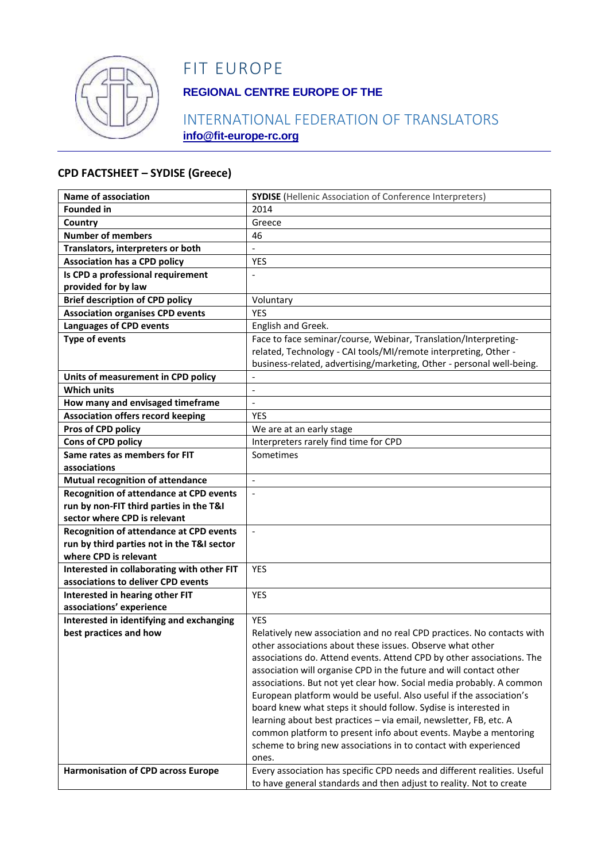

# FIT EUROPE

## **REGIONAL CENTRE EUROPE OF THE**

### INTERNATIONAL FEDERATION OF TRANSLATORS **info@fit-europe-rc.org**

#### **CPD FACTSHEET – SYDISE (Greece)**

| <b>Name of association</b>                     | <b>SYDISE</b> (Hellenic Association of Conference Interpreters)          |
|------------------------------------------------|--------------------------------------------------------------------------|
| <b>Founded in</b>                              | 2014                                                                     |
| Country                                        | Greece                                                                   |
| <b>Number of members</b>                       | 46                                                                       |
| Translators, interpreters or both              |                                                                          |
| <b>Association has a CPD policy</b>            | <b>YES</b>                                                               |
| Is CPD a professional requirement              |                                                                          |
| provided for by law                            |                                                                          |
| <b>Brief description of CPD policy</b>         | Voluntary                                                                |
| <b>Association organises CPD events</b>        | YES                                                                      |
| <b>Languages of CPD events</b>                 | English and Greek.                                                       |
| <b>Type of events</b>                          | Face to face seminar/course, Webinar, Translation/Interpreting-          |
|                                                | related, Technology - CAI tools/MI/remote interpreting, Other -          |
|                                                | business-related, advertising/marketing, Other - personal well-being.    |
| Units of measurement in CPD policy             |                                                                          |
| <b>Which units</b>                             | $\overline{\phantom{a}}$                                                 |
| How many and envisaged timeframe               | $\overline{a}$                                                           |
| <b>Association offers record keeping</b>       | <b>YES</b>                                                               |
| Pros of CPD policy                             | We are at an early stage                                                 |
| Cons of CPD policy                             | Interpreters rarely find time for CPD                                    |
| Same rates as members for FIT                  | Sometimes                                                                |
| associations                                   |                                                                          |
| Mutual recognition of attendance               | $\blacksquare$                                                           |
| <b>Recognition of attendance at CPD events</b> | $\bar{\phantom{a}}$                                                      |
| run by non-FIT third parties in the T&I        |                                                                          |
| sector where CPD is relevant                   |                                                                          |
| Recognition of attendance at CPD events        | $\Box$                                                                   |
| run by third parties not in the T&I sector     |                                                                          |
| where CPD is relevant                          |                                                                          |
| Interested in collaborating with other FIT     | <b>YES</b>                                                               |
| associations to deliver CPD events             |                                                                          |
| Interested in hearing other FIT                | YES                                                                      |
| associations' experience                       |                                                                          |
| Interested in identifying and exchanging       | <b>YES</b>                                                               |
| best practices and how                         | Relatively new association and no real CPD practices. No contacts with   |
|                                                | other associations about these issues. Observe what other                |
|                                                | associations do. Attend events. Attend CPD by other associations. The    |
|                                                | association will organise CPD in the future and will contact other       |
|                                                | associations. But not yet clear how. Social media probably. A common     |
|                                                | European platform would be useful. Also useful if the association's      |
|                                                | board knew what steps it should follow. Sydise is interested in          |
|                                                | learning about best practices - via email, newsletter, FB, etc. A        |
|                                                | common platform to present info about events. Maybe a mentoring          |
|                                                | scheme to bring new associations in to contact with experienced          |
|                                                | ones.                                                                    |
| <b>Harmonisation of CPD across Europe</b>      | Every association has specific CPD needs and different realities. Useful |
|                                                | to have general standards and then adjust to reality. Not to create      |